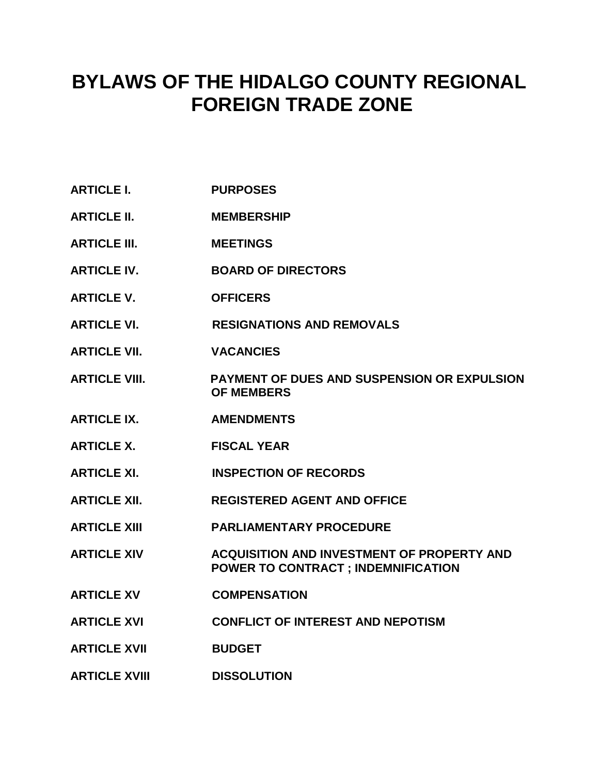# **BYLAWS OF THE HIDALGO COUNTY REGIONAL FOREIGN TRADE ZONE**

- **ARTICLE I. PURPOSES**
- **ARTICLE II. MEMBERSHIP**
- **ARTICLE III. MEETINGS**
- **ARTICLE IV. BOARD OF DIRECTORS**
- **ARTICLE V. OFFICERS**
- **ARTICLE VI. RESIGNATIONS AND REMOVALS**
- **ARTICLE VII. VACANCIES**
- **ARTICLE VIII. PAYMENT OF DUES AND SUSPENSION OR EXPULSION OF MEMBERS**
- **ARTICLE IX. AMENDMENTS**
- **ARTICLE X. FISCAL YEAR**
- **ARTICLE XI. INSPECTION OF RECORDS**
- **ARTICLE XII. REGISTERED AGENT AND OFFICE**
- **ARTICLE XIII PARLIAMENTARY PROCEDURE**
- **ARTICLE XIV ACQUISITION AND INVESTMENT OF PROPERTY AND POWER TO CONTRACT ; INDEMNIFICATION**
- **ARTICLE XV COMPENSATION**
- **ARTICLE XVI CONFLICT OF INTEREST AND NEPOTISM**
- **ARTICLE XVII BUDGET**
- **ARTICLE XVIII DISSOLUTION**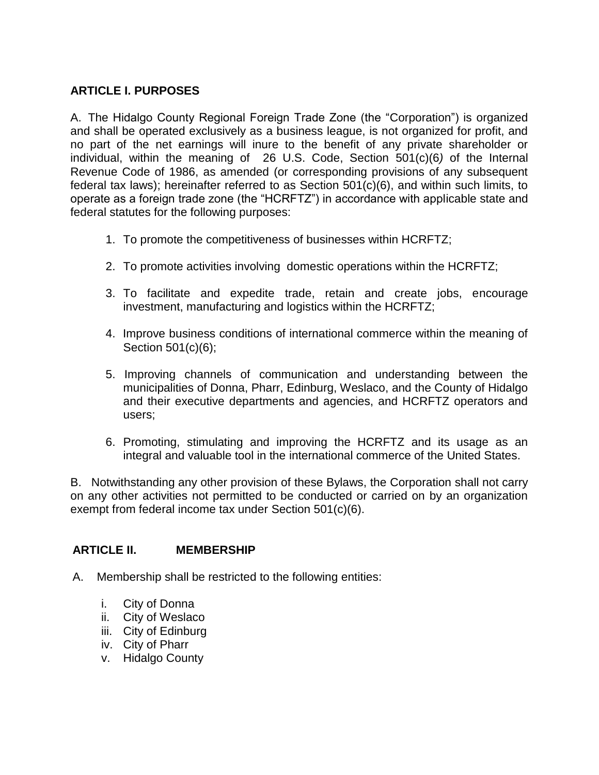## **ARTICLE I. PURPOSES**

A. The Hidalgo County Regional Foreign Trade Zone (the "Corporation") is organized and shall be operated exclusively as a business league, is not organized for profit, and no part of the net earnings will inure to the benefit of any private shareholder or individual, within the meaning of 26 U.S. Code, Section 501(c)(6*)* of the Internal Revenue Code of 1986, as amended (or corresponding provisions of any subsequent federal tax laws); hereinafter referred to as Section 501(c)(6), and within such limits, to operate as a foreign trade zone (the "HCRFTZ") in accordance with applicable state and federal statutes for the following purposes:

- 1. To promote the competitiveness of businesses within HCRFTZ;
- 2. To promote activities involving domestic operations within the HCRFTZ;
- 3. To facilitate and expedite trade, retain and create jobs, encourage investment, manufacturing and logistics within the HCRFTZ;
- 4. Improve business conditions of international commerce within the meaning of Section 501(c)(6);
- 5. Improving channels of communication and understanding between the municipalities of Donna, Pharr, Edinburg, Weslaco, and the County of Hidalgo and their executive departments and agencies, and HCRFTZ operators and users;
- 6. Promoting, stimulating and improving the HCRFTZ and its usage as an integral and valuable tool in the international commerce of the United States.

B. Notwithstanding any other provision of these Bylaws, the Corporation shall not carry on any other activities not permitted to be conducted or carried on by an organization exempt from federal income tax under Section 501(c)(6).

#### **ARTICLE II. MEMBERSHIP**

- A. Membership shall be restricted to the following entities:
	- i. City of Donna
	- ii. City of Weslaco
	- iii. City of Edinburg
	- iv. City of Pharr
	- v. Hidalgo County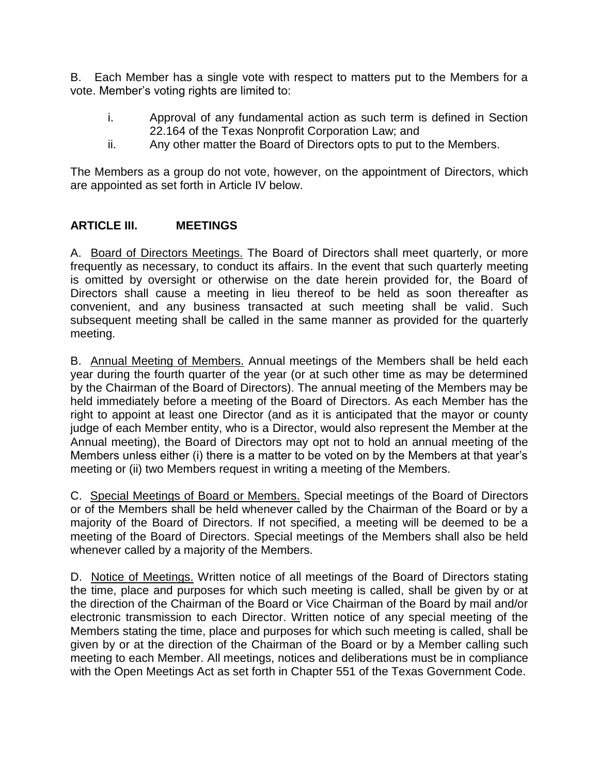B. Each Member has a single vote with respect to matters put to the Members for a vote. Member's voting rights are limited to:

- i. Approval of any fundamental action as such term is defined in Section 22.164 of the Texas Nonprofit Corporation Law; and
- ii. Any other matter the Board of Directors opts to put to the Members.

The Members as a group do not vote, however, on the appointment of Directors, which are appointed as set forth in Article IV below.

#### **ARTICLE III. MEETINGS**

A. Board of Directors Meetings. The Board of Directors shall meet quarterly, or more frequently as necessary, to conduct its affairs. In the event that such quarterly meeting is omitted by oversight or otherwise on the date herein provided for, the Board of Directors shall cause a meeting in lieu thereof to be held as soon thereafter as convenient, and any business transacted at such meeting shall be valid. Such subsequent meeting shall be called in the same manner as provided for the quarterly meeting.

B. Annual Meeting of Members. Annual meetings of the Members shall be held each year during the fourth quarter of the year (or at such other time as may be determined by the Chairman of the Board of Directors). The annual meeting of the Members may be held immediately before a meeting of the Board of Directors. As each Member has the right to appoint at least one Director (and as it is anticipated that the mayor or county judge of each Member entity, who is a Director, would also represent the Member at the Annual meeting), the Board of Directors may opt not to hold an annual meeting of the Members unless either (i) there is a matter to be voted on by the Members at that year's meeting or (ii) two Members request in writing a meeting of the Members.

C. Special Meetings of Board or Members. Special meetings of the Board of Directors or of the Members shall be held whenever called by the Chairman of the Board or by a majority of the Board of Directors. If not specified, a meeting will be deemed to be a meeting of the Board of Directors. Special meetings of the Members shall also be held whenever called by a majority of the Members.

D. Notice of Meetings. Written notice of all meetings of the Board of Directors stating the time, place and purposes for which such meeting is called, shall be given by or at the direction of the Chairman of the Board or Vice Chairman of the Board by mail and/or electronic transmission to each Director. Written notice of any special meeting of the Members stating the time, place and purposes for which such meeting is called, shall be given by or at the direction of the Chairman of the Board or by a Member calling such meeting to each Member. All meetings, notices and deliberations must be in compliance with the Open Meetings Act as set forth in Chapter 551 of the Texas Government Code.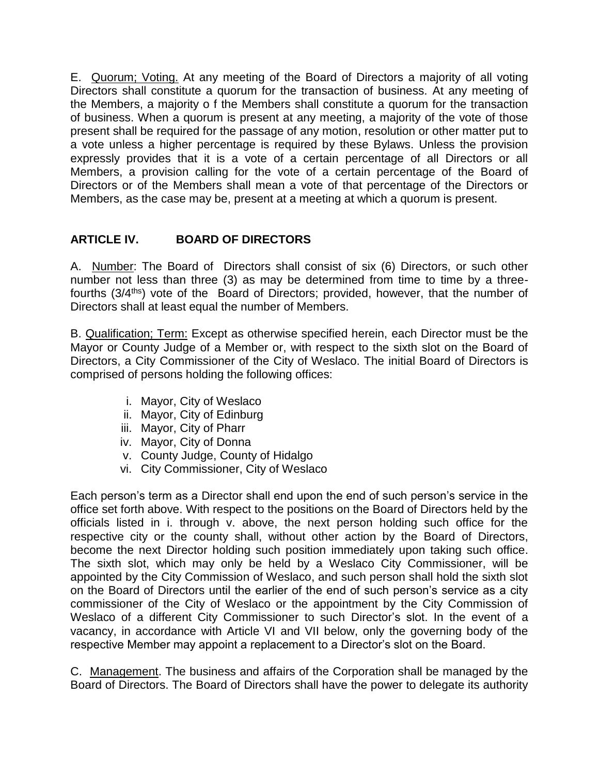E. Quorum; Voting. At any meeting of the Board of Directors a majority of all voting Directors shall constitute a quorum for the transaction of business. At any meeting of the Members, a majority o f the Members shall constitute a quorum for the transaction of business. When a quorum is present at any meeting, a majority of the vote of those present shall be required for the passage of any motion, resolution or other matter put to a vote unless a higher percentage is required by these Bylaws. Unless the provision expressly provides that it is a vote of a certain percentage of all Directors or all Members, a provision calling for the vote of a certain percentage of the Board of Directors or of the Members shall mean a vote of that percentage of the Directors or Members, as the case may be, present at a meeting at which a quorum is present.

# **ARTICLE IV. BOARD OF DIRECTORS**

A. Number: The Board of Directors shall consist of six (6) Directors, or such other number not less than three (3) as may be determined from time to time by a threefourths (3/4<sup>ths</sup>) vote of the Board of Directors; provided, however, that the number of Directors shall at least equal the number of Members.

B. Qualification; Term: Except as otherwise specified herein, each Director must be the Mayor or County Judge of a Member or, with respect to the sixth slot on the Board of Directors, a City Commissioner of the City of Weslaco. The initial Board of Directors is comprised of persons holding the following offices:

- i. Mayor, City of Weslaco
- ii. Mayor, City of Edinburg
- iii. Mayor, City of Pharr
- iv. Mayor, City of Donna
- v. County Judge, County of Hidalgo
- vi. City Commissioner, City of Weslaco

Each person's term as a Director shall end upon the end of such person's service in the office set forth above. With respect to the positions on the Board of Directors held by the officials listed in i. through v. above, the next person holding such office for the respective city or the county shall, without other action by the Board of Directors, become the next Director holding such position immediately upon taking such office. The sixth slot, which may only be held by a Weslaco City Commissioner, will be appointed by the City Commission of Weslaco, and such person shall hold the sixth slot on the Board of Directors until the earlier of the end of such person's service as a city commissioner of the City of Weslaco or the appointment by the City Commission of Weslaco of a different City Commissioner to such Director's slot. In the event of a vacancy, in accordance with Article VI and VII below, only the governing body of the respective Member may appoint a replacement to a Director's slot on the Board.

C. Management. The business and affairs of the Corporation shall be managed by the Board of Directors. The Board of Directors shall have the power to delegate its authority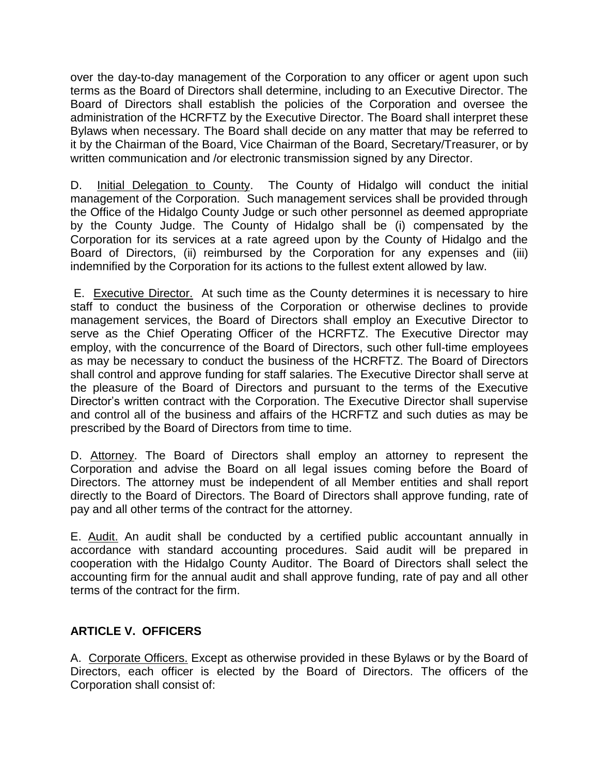over the day-to-day management of the Corporation to any officer or agent upon such terms as the Board of Directors shall determine, including to an Executive Director. The Board of Directors shall establish the policies of the Corporation and oversee the administration of the HCRFTZ by the Executive Director. The Board shall interpret these Bylaws when necessary. The Board shall decide on any matter that may be referred to it by the Chairman of the Board, Vice Chairman of the Board, Secretary/Treasurer, or by written communication and /or electronic transmission signed by any Director.

D. Initial Delegation to County. The County of Hidalgo will conduct the initial management of the Corporation. Such management services shall be provided through the Office of the Hidalgo County Judge or such other personnel as deemed appropriate by the County Judge. The County of Hidalgo shall be (i) compensated by the Corporation for its services at a rate agreed upon by the County of Hidalgo and the Board of Directors, (ii) reimbursed by the Corporation for any expenses and (iii) indemnified by the Corporation for its actions to the fullest extent allowed by law.

E. Executive Director. At such time as the County determines it is necessary to hire staff to conduct the business of the Corporation or otherwise declines to provide management services, the Board of Directors shall employ an Executive Director to serve as the Chief Operating Officer of the HCRFTZ. The Executive Director may employ, with the concurrence of the Board of Directors, such other full-time employees as may be necessary to conduct the business of the HCRFTZ. The Board of Directors shall control and approve funding for staff salaries. The Executive Director shall serve at the pleasure of the Board of Directors and pursuant to the terms of the Executive Director's written contract with the Corporation. The Executive Director shall supervise and control all of the business and affairs of the HCRFTZ and such duties as may be prescribed by the Board of Directors from time to time.

D. Attorney. The Board of Directors shall employ an attorney to represent the Corporation and advise the Board on all legal issues coming before the Board of Directors. The attorney must be independent of all Member entities and shall report directly to the Board of Directors. The Board of Directors shall approve funding, rate of pay and all other terms of the contract for the attorney.

E. Audit. An audit shall be conducted by a certified public accountant annually in accordance with standard accounting procedures. Said audit will be prepared in cooperation with the Hidalgo County Auditor. The Board of Directors shall select the accounting firm for the annual audit and shall approve funding, rate of pay and all other terms of the contract for the firm.

## **ARTICLE V. OFFICERS**

A. Corporate Officers. Except as otherwise provided in these Bylaws or by the Board of Directors, each officer is elected by the Board of Directors. The officers of the Corporation shall consist of: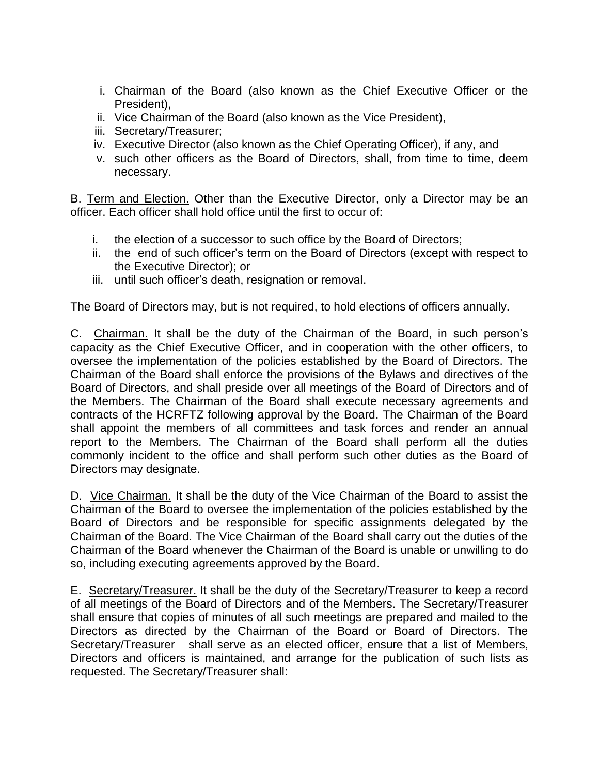- i. Chairman of the Board (also known as the Chief Executive Officer or the President),
- ii. Vice Chairman of the Board (also known as the Vice President),
- iii. Secretary/Treasurer;
- iv. Executive Director (also known as the Chief Operating Officer), if any, and
- v. such other officers as the Board of Directors, shall, from time to time, deem necessary.

B. Term and Election. Other than the Executive Director, only a Director may be an officer. Each officer shall hold office until the first to occur of:

- i. the election of a successor to such office by the Board of Directors;
- ii. the end of such officer's term on the Board of Directors (except with respect to the Executive Director); or
- iii. until such officer's death, resignation or removal.

The Board of Directors may, but is not required, to hold elections of officers annually.

C. Chairman. It shall be the duty of the Chairman of the Board, in such person's capacity as the Chief Executive Officer, and in cooperation with the other officers, to oversee the implementation of the policies established by the Board of Directors. The Chairman of the Board shall enforce the provisions of the Bylaws and directives of the Board of Directors, and shall preside over all meetings of the Board of Directors and of the Members. The Chairman of the Board shall execute necessary agreements and contracts of the HCRFTZ following approval by the Board. The Chairman of the Board shall appoint the members of all committees and task forces and render an annual report to the Members. The Chairman of the Board shall perform all the duties commonly incident to the office and shall perform such other duties as the Board of Directors may designate.

D. Vice Chairman. It shall be the duty of the Vice Chairman of the Board to assist the Chairman of the Board to oversee the implementation of the policies established by the Board of Directors and be responsible for specific assignments delegated by the Chairman of the Board. The Vice Chairman of the Board shall carry out the duties of the Chairman of the Board whenever the Chairman of the Board is unable or unwilling to do so, including executing agreements approved by the Board.

E. Secretary/Treasurer. It shall be the duty of the Secretary/Treasurer to keep a record of all meetings of the Board of Directors and of the Members. The Secretary/Treasurer shall ensure that copies of minutes of all such meetings are prepared and mailed to the Directors as directed by the Chairman of the Board or Board of Directors. The Secretary/Treasurer shall serve as an elected officer, ensure that a list of Members, Directors and officers is maintained, and arrange for the publication of such lists as requested. The Secretary/Treasurer shall: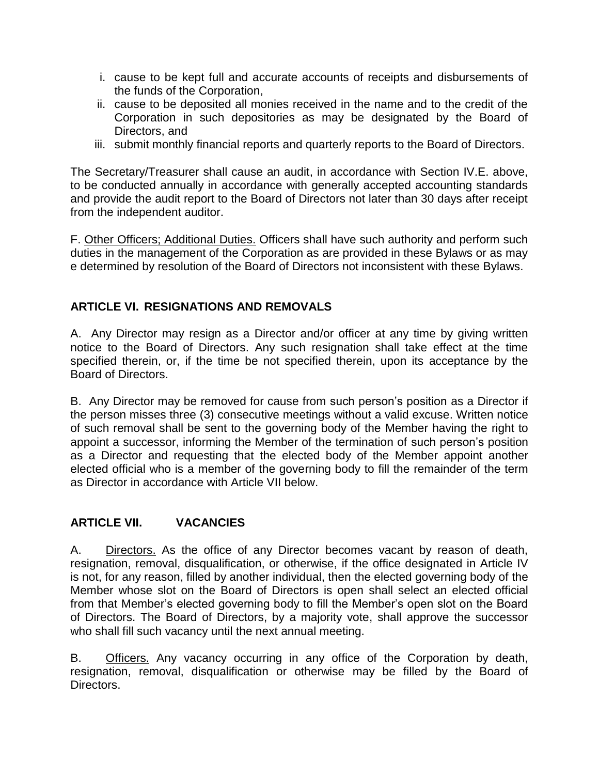- i. cause to be kept full and accurate accounts of receipts and disbursements of the funds of the Corporation,
- ii. cause to be deposited all monies received in the name and to the credit of the Corporation in such depositories as may be designated by the Board of Directors, and
- iii. submit monthly financial reports and quarterly reports to the Board of Directors.

The Secretary/Treasurer shall cause an audit, in accordance with Section IV.E. above, to be conducted annually in accordance with generally accepted accounting standards and provide the audit report to the Board of Directors not later than 30 days after receipt from the independent auditor.

F. Other Officers; Additional Duties. Officers shall have such authority and perform such duties in the management of the Corporation as are provided in these Bylaws or as may e determined by resolution of the Board of Directors not inconsistent with these Bylaws.

## **ARTICLE VI. RESIGNATIONS AND REMOVALS**

A. Any Director may resign as a Director and/or officer at any time by giving written notice to the Board of Directors. Any such resignation shall take effect at the time specified therein, or, if the time be not specified therein, upon its acceptance by the Board of Directors.

B. Any Director may be removed for cause from such person's position as a Director if the person misses three (3) consecutive meetings without a valid excuse. Written notice of such removal shall be sent to the governing body of the Member having the right to appoint a successor, informing the Member of the termination of such person's position as a Director and requesting that the elected body of the Member appoint another elected official who is a member of the governing body to fill the remainder of the term as Director in accordance with Article VII below.

## **ARTICLE VII. VACANCIES**

A. Directors. As the office of any Director becomes vacant by reason of death, resignation, removal, disqualification, or otherwise, if the office designated in Article IV is not, for any reason, filled by another individual, then the elected governing body of the Member whose slot on the Board of Directors is open shall select an elected official from that Member's elected governing body to fill the Member's open slot on the Board of Directors. The Board of Directors, by a majority vote, shall approve the successor who shall fill such vacancy until the next annual meeting.

B. Officers. Any vacancy occurring in any office of the Corporation by death, resignation, removal, disqualification or otherwise may be filled by the Board of Directors.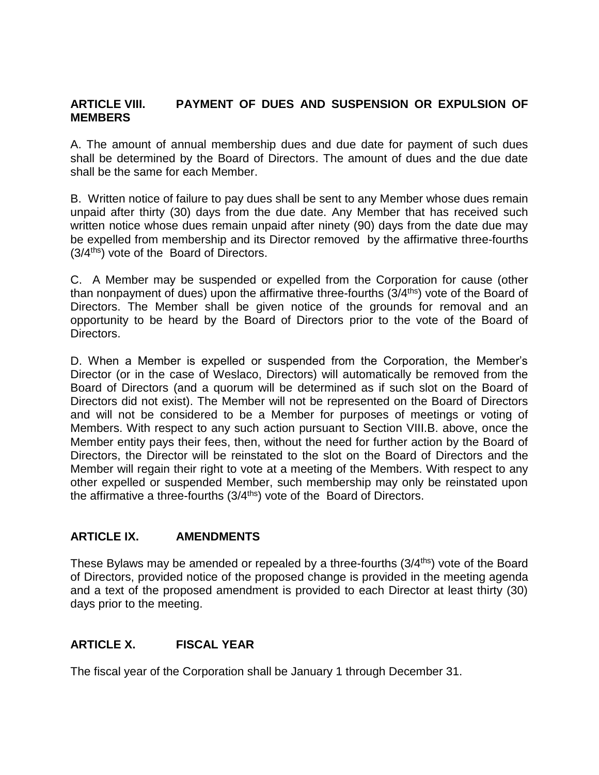#### **ARTICLE VIII. PAYMENT OF DUES AND SUSPENSION OR EXPULSION OF MEMBERS**

A. The amount of annual membership dues and due date for payment of such dues shall be determined by the Board of Directors. The amount of dues and the due date shall be the same for each Member.

B. Written notice of failure to pay dues shall be sent to any Member whose dues remain unpaid after thirty (30) days from the due date. Any Member that has received such written notice whose dues remain unpaid after ninety (90) days from the date due may be expelled from membership and its Director removed by the affirmative three-fourths (3/4<sup>ths</sup>) vote of the Board of Directors.

C. A Member may be suspended or expelled from the Corporation for cause (other than nonpayment of dues) upon the affirmative three-fourths (3/4<sup>ths</sup>) vote of the Board of Directors. The Member shall be given notice of the grounds for removal and an opportunity to be heard by the Board of Directors prior to the vote of the Board of Directors.

D. When a Member is expelled or suspended from the Corporation, the Member's Director (or in the case of Weslaco, Directors) will automatically be removed from the Board of Directors (and a quorum will be determined as if such slot on the Board of Directors did not exist). The Member will not be represented on the Board of Directors and will not be considered to be a Member for purposes of meetings or voting of Members. With respect to any such action pursuant to Section VIII.B. above, once the Member entity pays their fees, then, without the need for further action by the Board of Directors, the Director will be reinstated to the slot on the Board of Directors and the Member will regain their right to vote at a meeting of the Members. With respect to any other expelled or suspended Member, such membership may only be reinstated upon the affirmative a three-fourths (3/4<sup>ths</sup>) vote of the Board of Directors.

## **ARTICLE IX. AMENDMENTS**

These Bylaws may be amended or repealed by a three-fourths (3/4<sup>ths</sup>) vote of the Board of Directors, provided notice of the proposed change is provided in the meeting agenda and a text of the proposed amendment is provided to each Director at least thirty (30) days prior to the meeting.

## **ARTICLE X. FISCAL YEAR**

The fiscal year of the Corporation shall be January 1 through December 31.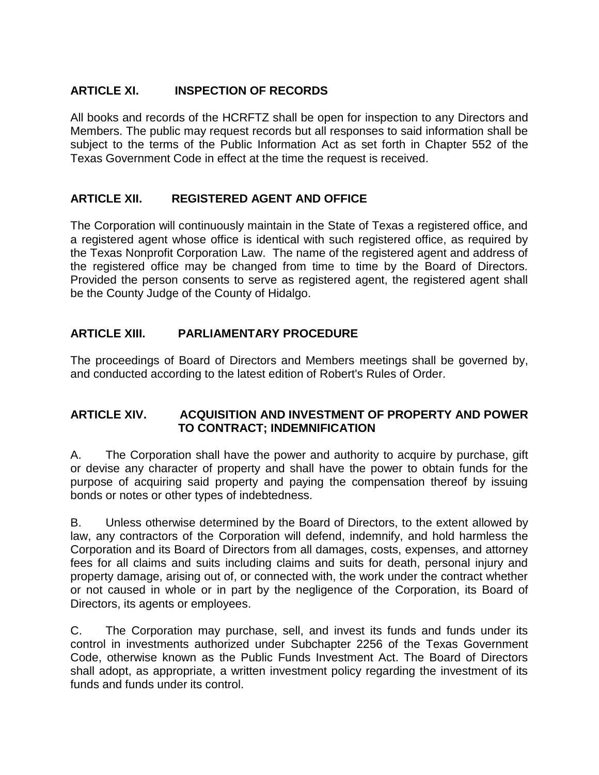## **ARTICLE XI. INSPECTION OF RECORDS**

All books and records of the HCRFTZ shall be open for inspection to any Directors and Members. The public may request records but all responses to said information shall be subject to the terms of the Public Information Act as set forth in Chapter 552 of the Texas Government Code in effect at the time the request is received.

#### **ARTICLE XII. REGISTERED AGENT AND OFFICE**

The Corporation will continuously maintain in the State of Texas a registered office, and a registered agent whose office is identical with such registered office, as required by the Texas Nonprofit Corporation Law. The name of the registered agent and address of the registered office may be changed from time to time by the Board of Directors. Provided the person consents to serve as registered agent, the registered agent shall be the County Judge of the County of Hidalgo.

## **ARTICLE XIII. PARLIAMENTARY PROCEDURE**

The proceedings of Board of Directors and Members meetings shall be governed by, and conducted according to the latest edition of Robert's Rules of Order.

#### **ARTICLE XIV. ACQUISITION AND INVESTMENT OF PROPERTY AND POWER TO CONTRACT; INDEMNIFICATION**

A. The Corporation shall have the power and authority to acquire by purchase, gift or devise any character of property and shall have the power to obtain funds for the purpose of acquiring said property and paying the compensation thereof by issuing bonds or notes or other types of indebtedness.

B. Unless otherwise determined by the Board of Directors, to the extent allowed by law, any contractors of the Corporation will defend, indemnify, and hold harmless the Corporation and its Board of Directors from all damages, costs, expenses, and attorney fees for all claims and suits including claims and suits for death, personal injury and property damage, arising out of, or connected with, the work under the contract whether or not caused in whole or in part by the negligence of the Corporation, its Board of Directors, its agents or employees.

C. The Corporation may purchase, sell, and invest its funds and funds under its control in investments authorized under Subchapter 2256 of the Texas Government Code, otherwise known as the Public Funds Investment Act. The Board of Directors shall adopt, as appropriate, a written investment policy regarding the investment of its funds and funds under its control.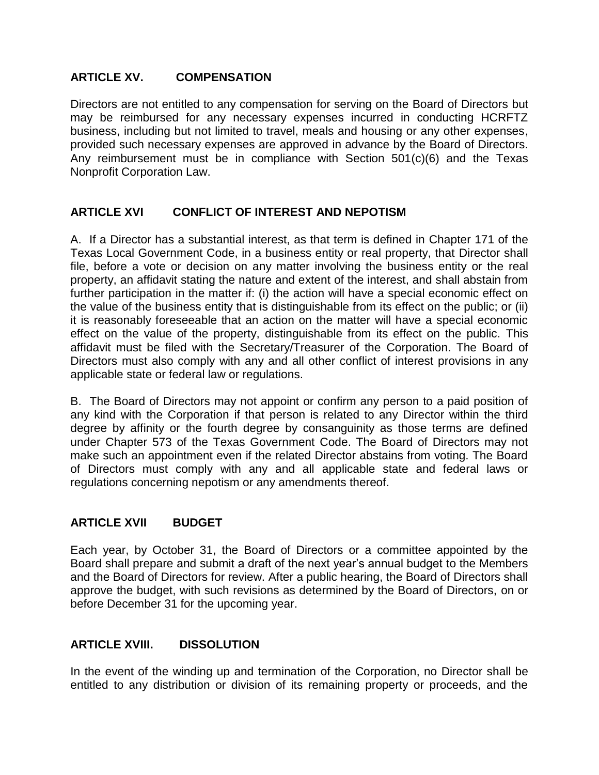#### **ARTICLE XV. COMPENSATION**

Directors are not entitled to any compensation for serving on the Board of Directors but may be reimbursed for any necessary expenses incurred in conducting HCRFTZ business, including but not limited to travel, meals and housing or any other expenses, provided such necessary expenses are approved in advance by the Board of Directors. Any reimbursement must be in compliance with Section 501(c)(6) and the Texas Nonprofit Corporation Law.

## **ARTICLE XVI CONFLICT OF INTEREST AND NEPOTISM**

A. If a Director has a substantial interest, as that term is defined in Chapter 171 of the Texas Local Government Code, in a business entity or real property, that Director shall file, before a vote or decision on any matter involving the business entity or the real property, an affidavit stating the nature and extent of the interest, and shall abstain from further participation in the matter if: (i) the action will have a special economic effect on the value of the business entity that is distinguishable from its effect on the public; or (ii) it is reasonably foreseeable that an action on the matter will have a special economic effect on the value of the property, distinguishable from its effect on the public. This affidavit must be filed with the Secretary/Treasurer of the Corporation. The Board of Directors must also comply with any and all other conflict of interest provisions in any applicable state or federal law or regulations.

B. The Board of Directors may not appoint or confirm any person to a paid position of any kind with the Corporation if that person is related to any Director within the third degree by affinity or the fourth degree by consanguinity as those terms are defined under Chapter 573 of the Texas Government Code. The Board of Directors may not make such an appointment even if the related Director abstains from voting. The Board of Directors must comply with any and all applicable state and federal laws or regulations concerning nepotism or any amendments thereof.

#### **ARTICLE XVII BUDGET**

Each year, by October 31, the Board of Directors or a committee appointed by the Board shall prepare and submit a draft of the next year's annual budget to the Members and the Board of Directors for review. After a public hearing, the Board of Directors shall approve the budget, with such revisions as determined by the Board of Directors, on or before December 31 for the upcoming year.

## **ARTICLE XVIII. DISSOLUTION**

In the event of the winding up and termination of the Corporation, no Director shall be entitled to any distribution or division of its remaining property or proceeds, and the